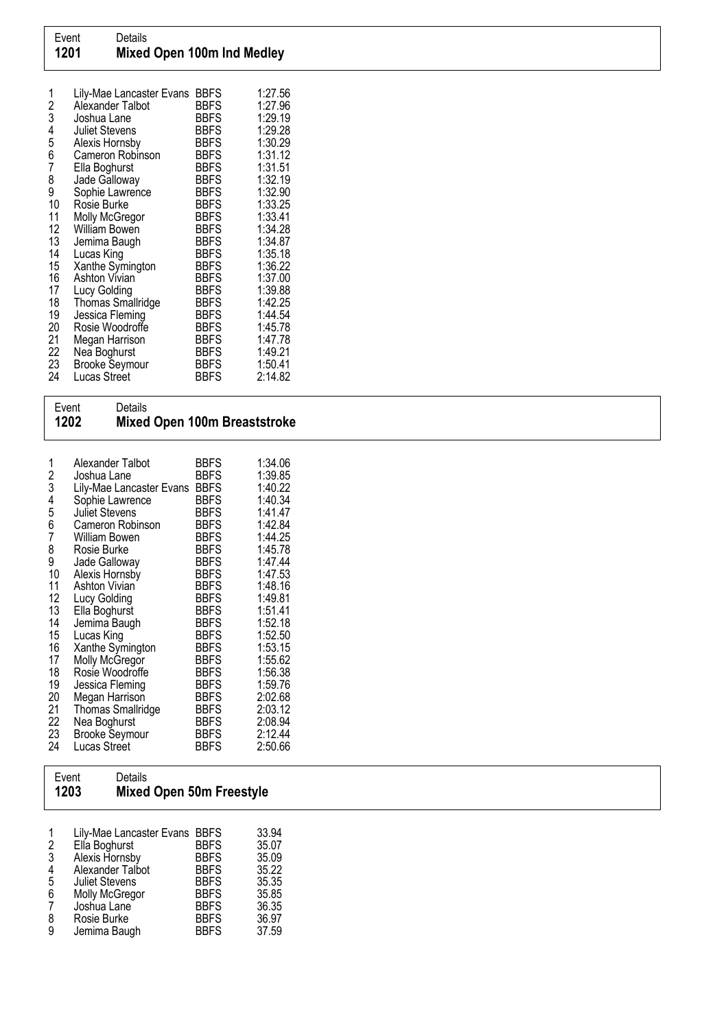| 1<br>$\overline{c}$<br>3<br>4 | Lily-Mae Lancaster Evans<br>Alexander Talbot<br>Joshua Lane | <b>BBFS</b><br><b>BBFS</b><br><b>BBFS</b><br><b>BBFS</b> | 1:27.56<br>1:27.96<br>1:29.19<br>1:29.28 |
|-------------------------------|-------------------------------------------------------------|----------------------------------------------------------|------------------------------------------|
| 5                             | Juliet Stevens<br>Alexis Hornsby                            | <b>BBFS</b>                                              | 1:30.29                                  |
| 6                             | Cameron Robinson                                            | <b>BBFS</b>                                              | 1:31.12                                  |
| 7                             | Ella Boghurst                                               | <b>BBFS</b>                                              | 1:31.51                                  |
| 8                             | Jade Galloway                                               | <b>BBFS</b>                                              | 1:32.19                                  |
| 9                             | Sophie Lawrence                                             | <b>BBFS</b>                                              | 1:32.90                                  |
| 10                            | Rosie Burke                                                 | <b>BBFS</b>                                              | 1:33.25                                  |
| 11                            | Molly McGregor                                              | <b>BBFS</b>                                              | 1:33.41                                  |
| 12<br>13                      | William Bowen                                               | <b>BBFS</b><br><b>BBFS</b>                               | 1:34.28<br>1:34.87                       |
| 14                            | Jemima Baugh<br>Lucas King                                  | <b>BBFS</b>                                              | 1:35.18                                  |
| 15                            | Xanthe Symington                                            | <b>BBFS</b>                                              | 1:36.22                                  |
| 16                            | Ashton Vivian                                               | <b>BBFS</b>                                              | 1:37.00                                  |
| 17                            | Lucy Golding                                                | <b>BBFS</b>                                              | 1:39.88                                  |
| 18                            | <b>Thomas Smallridge</b>                                    | <b>BBFS</b>                                              | 1:42.25                                  |
| 19                            | Jessica Fleming                                             | <b>BBFS</b>                                              | 1:44.54                                  |
| 20                            | Rosie Woodroffe                                             | <b>BBFS</b>                                              | 1:45.78                                  |
| 21                            | Megan Harrison                                              | <b>BBFS</b>                                              | 1:47.78                                  |
| 22                            | Nea Boghurst                                                | <b>BBFS</b>                                              | 1:49.21                                  |
| 23                            | <b>Brooke Seymour</b>                                       | <b>BBFS</b>                                              | 1:50.41                                  |
| 24                            | Lucas Street                                                | <b>BBFS</b>                                              | 2:14.82                                  |

## Event Details 1202 Mixed Open 100m Breaststroke

| Alexander Talbot      | BBFS                                                                                                                                                                                                                                                                                                                                               | 1:34.06<br>1:39.85                                                                                                                                                                                                                            |
|-----------------------|----------------------------------------------------------------------------------------------------------------------------------------------------------------------------------------------------------------------------------------------------------------------------------------------------------------------------------------------------|-----------------------------------------------------------------------------------------------------------------------------------------------------------------------------------------------------------------------------------------------|
|                       |                                                                                                                                                                                                                                                                                                                                                    | 1:40.22                                                                                                                                                                                                                                       |
|                       | <b>BBFS</b>                                                                                                                                                                                                                                                                                                                                        | 1:40.34                                                                                                                                                                                                                                       |
| <b>Juliet Stevens</b> | <b>BBFS</b>                                                                                                                                                                                                                                                                                                                                        | 1:41.47                                                                                                                                                                                                                                       |
| Cameron Robinson      | <b>BBFS</b>                                                                                                                                                                                                                                                                                                                                        | 1:42.84                                                                                                                                                                                                                                       |
|                       |                                                                                                                                                                                                                                                                                                                                                    | 1:44.25                                                                                                                                                                                                                                       |
|                       |                                                                                                                                                                                                                                                                                                                                                    | 1:45.78                                                                                                                                                                                                                                       |
|                       |                                                                                                                                                                                                                                                                                                                                                    | 1:47.44<br>1:47.53                                                                                                                                                                                                                            |
|                       |                                                                                                                                                                                                                                                                                                                                                    | 1:48.16                                                                                                                                                                                                                                       |
|                       |                                                                                                                                                                                                                                                                                                                                                    | 1:49.81                                                                                                                                                                                                                                       |
|                       |                                                                                                                                                                                                                                                                                                                                                    | 1:51.41                                                                                                                                                                                                                                       |
| Jemima Baugh          | <b>BBFS</b>                                                                                                                                                                                                                                                                                                                                        | 1:52.18                                                                                                                                                                                                                                       |
| Lucas King            | <b>BBFS</b>                                                                                                                                                                                                                                                                                                                                        | 1:52.50                                                                                                                                                                                                                                       |
|                       |                                                                                                                                                                                                                                                                                                                                                    | 1:53.15                                                                                                                                                                                                                                       |
|                       |                                                                                                                                                                                                                                                                                                                                                    | 1:55.62                                                                                                                                                                                                                                       |
|                       |                                                                                                                                                                                                                                                                                                                                                    | 1:56.38                                                                                                                                                                                                                                       |
|                       |                                                                                                                                                                                                                                                                                                                                                    | 1:59.76<br>2:02.68                                                                                                                                                                                                                            |
|                       |                                                                                                                                                                                                                                                                                                                                                    | 2:03.12                                                                                                                                                                                                                                       |
|                       |                                                                                                                                                                                                                                                                                                                                                    | 2:08.94                                                                                                                                                                                                                                       |
|                       |                                                                                                                                                                                                                                                                                                                                                    | 2:12.44                                                                                                                                                                                                                                       |
| Lucas Street          | <b>BBFS</b>                                                                                                                                                                                                                                                                                                                                        | 2:50.66                                                                                                                                                                                                                                       |
|                       | Joshua Lane<br>Lily-Mae Lancaster Evans<br>Sophie Lawrence<br>William Bowen<br>Rosie Burke<br>Jade Galloway<br>Alexis Hornsby<br>Ashton Vivian<br>Lucy Golding<br>Ella Boghurst<br>Xanthe Symington<br>Molly McGregor<br>Rosie Woodroffe<br>Jessica Fleming<br>Megan Harrison<br><b>Thomas Smallridge</b><br>Nea Boghurst<br><b>Brooke Seymour</b> | <b>BBFS</b><br><b>BBFS</b><br>BBFS<br><b>BBFS</b><br><b>BBFS</b><br><b>BBFS</b><br><b>BBFS</b><br><b>BBFS</b><br><b>BBFS</b><br><b>BBFS</b><br><b>BBFS</b><br><b>BBFS</b><br><b>BBFS</b><br><b>BBFS</b><br><b>BBFS</b><br>BBFS<br><b>BBFS</b> |

## Event Details<br>1203 Mixed Mixed Open 50m Freestyle

| 1 | Lily-Mae Lancaster Evans BBFS |             | 33.94 |
|---|-------------------------------|-------------|-------|
| 2 | Ella Boghurst                 | <b>BBFS</b> | 35.07 |
| 3 | Alexis Hornsby                | <b>BBFS</b> | 35.09 |
| 4 | Alexander Talbot              | <b>BBFS</b> | 35.22 |
| 5 | <b>Juliet Stevens</b>         | <b>BBFS</b> | 35.35 |
| 6 | Molly McGregor                | <b>BBFS</b> | 35.85 |
| 7 | Joshua Lane                   | <b>BBFS</b> | 36.35 |
| 8 | Rosie Burke                   | <b>BBFS</b> | 36.97 |
| 9 | Jemima Baugh                  | <b>BBFS</b> | 37.59 |